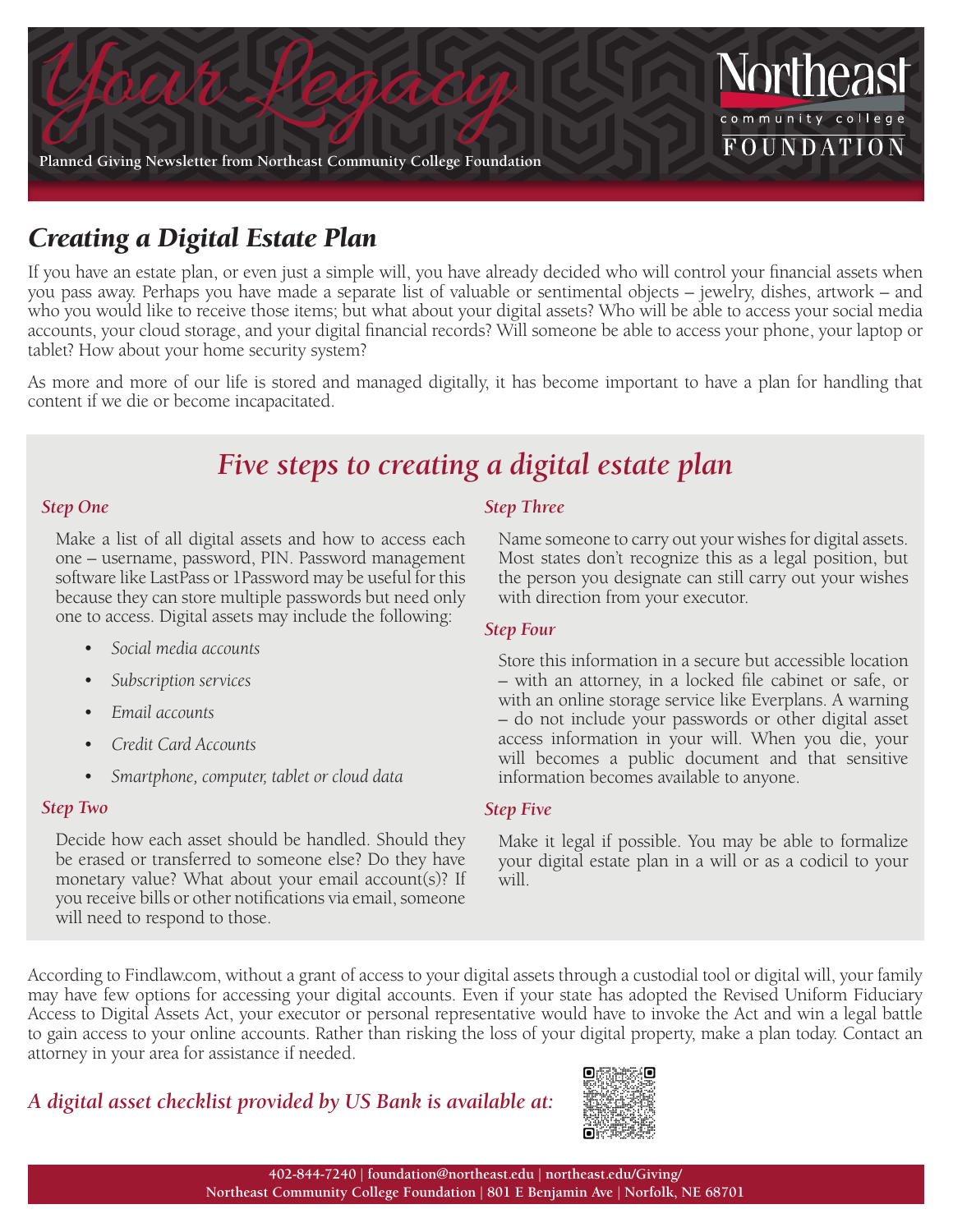

# *Creating a Digital Estate Plan*

If you have an estate plan, or even just a simple will, you have already decided who will control your financial assets when you pass away. Perhaps you have made a separate list of valuable or sentimental objects – jewelry, dishes, artwork – and who you would like to receive those items; but what about your digital assets? Who will be able to access your social media accounts, your cloud storage, and your digital financial records? Will someone be able to access your phone, your laptop or tablet? How about your home security system?

As more and more of our life is stored and managed digitally, it has become important to have a plan for handling that content if we die or become incapacitated.

# *Five steps to creating a digital estate plan*

### *Step One*

Make a list of all digital assets and how to access each one – username, password, PIN. Password management software like LastPass or 1Password may be useful for this because they can store multiple passwords but need only one to access. Digital assets may include the following:

- *• Social media accounts*
- *• Subscription services*
- *• Email accounts*
- *• Credit Card Accounts*
- *• Smartphone, computer, tablet or cloud data*

### *Step Two*

Decide how each asset should be handled. Should they be erased or transferred to someone else? Do they have monetary value? What about your email account(s)? If you receive bills or other notifications via email, someone will need to respond to those.

### *Step Three*

Name someone to carry out your wishes for digital assets. Most states don't recognize this as a legal position, but the person you designate can still carry out your wishes with direction from your executor.

### *Step Four*

Store this information in a secure but accessible location – with an attorney, in a locked file cabinet or safe, or with an online storage service like Everplans. A warning – do not include your passwords or other digital asset access information in your will. When you die, your will becomes a public document and that sensitive information becomes available to anyone.

### *Step Five*

Make it legal if possible. You may be able to formalize your digital estate plan in a will or as a codicil to your will.

According to Findlaw.com, without a grant of access to your digital assets through a custodial tool or digital will, your family may have few options for accessing your digital accounts. Even if your state has adopted the Revised Uniform Fiduciary Access to Digital Assets Act, your executor or personal representative would have to invoke the Act and win a legal battle to gain access to your online accounts. Rather than risking the loss of your digital property, make a plan today. Contact an attorney in your area for assistance if needed.

## *A digital asset checklist provided by US Bank is available at:*